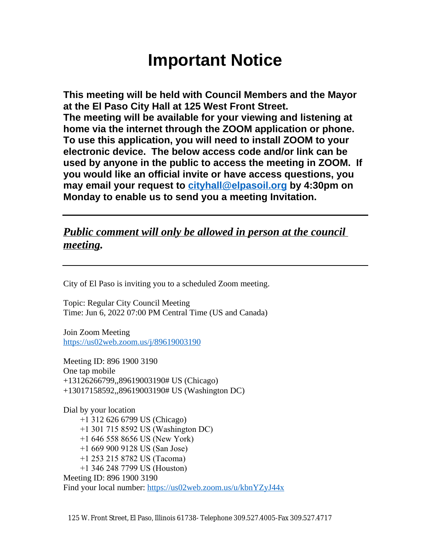# **Important Notice**

**This meeting will be held with Council Members and the Mayor at the El Paso City Hall at 125 West Front Street. The meeting will be available for your viewing and listening at home via the internet through the ZOOM application or phone. To use this application, you will need to install ZOOM to your electronic device. The below access code and/or link can be used by anyone in the public to access the meeting in ZOOM. If you would like an official invite or have access questions, you may email your request to [cityhall@elpasoil.org](mailto:cityhall@elpasoil.org) by 4:30pm on Monday to enable us to send you a meeting Invitation.**

## *Public comment will only be allowed in person at the council meeting.*

City of El Paso is inviting you to a scheduled Zoom meeting.

Topic: Regular City Council Meeting Time: Jun 6, 2022 07:00 PM Central Time (US and Canada)

Join Zoom Meeting <https://us02web.zoom.us/j/89619003190>

Meeting ID: 896 1900 3190 One tap mobile +13126266799,,89619003190# US (Chicago) +13017158592,,89619003190# US (Washington DC)

Dial by your location +1 312 626 6799 US (Chicago) +1 301 715 8592 US (Washington DC) +1 646 558 8656 US (New York) +1 669 900 9128 US (San Jose) +1 253 215 8782 US (Tacoma) +1 346 248 7799 US (Houston) Meeting ID: 896 1900 3190 Find your local number:<https://us02web.zoom.us/u/kbnYZyJ44x>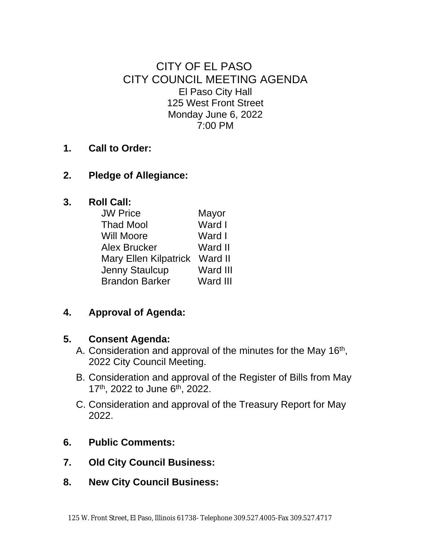CITY OF EL PASO CITY COUNCIL MEETING AGENDA El Paso City Hall 125 West Front Street Monday June 6, 2022 7:00 PM

#### **1. Call to Order:**

#### **2. Pledge of Allegiance:**

#### **3. Roll Call:**

| <b>JW Price</b>               | Mayor    |
|-------------------------------|----------|
| <b>Thad Mool</b>              | Ward I   |
| <b>Will Moore</b>             | Ward I   |
| <b>Alex Brucker</b>           | Ward II  |
| Mary Ellen Kilpatrick Ward II |          |
| Jenny Staulcup                | Ward III |
| <b>Brandon Barker</b>         | Ward III |

## **4. Approval of Agenda:**

#### **5. Consent Agenda:**

- A. Consideration and approval of the minutes for the May 16<sup>th</sup>, 2022 City Council Meeting.
- B. Consideration and approval of the Register of Bills from May 17<sup>th</sup>, 2022 to June 6<sup>th</sup>, 2022.
- C. Consideration and approval of the Treasury Report for May 2022.
- **6. Public Comments:**
- **7. Old City Council Business:**
- **8. New City Council Business:**